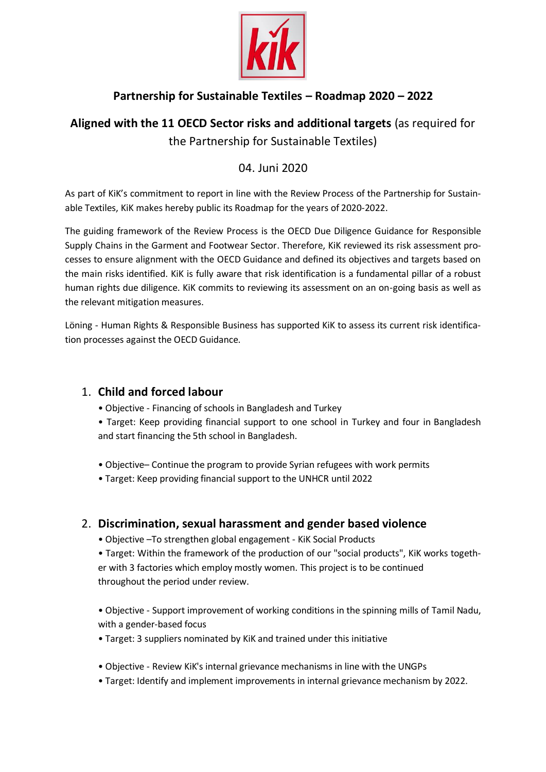

# **Partnership for Sustainable Textiles – Roadmap 2020 – 2022**

# **Aligned with the 11 OECD Sector risks and additional targets** (as required for the Partnership for Sustainable Textiles)

# 04. Juni 2020

As part of KiK's commitment to report in line with the Review Process of the Partnership for Sustainable Textiles, KiK makes hereby public its Roadmap for the years of 2020-2022.

The guiding framework of the Review Process is the OECD Due Diligence Guidance for Responsible Supply Chains in the Garment and Footwear Sector. Therefore, KiK reviewed its risk assessment processes to ensure alignment with the OECD Guidance and defined its objectives and targets based on the main risks identified. KiK is fully aware that risk identification is a fundamental pillar of a robust human rights due diligence. KiK commits to reviewing its assessment on an on-going basis as well as the relevant mitigation measures.

Löning - Human Rights & Responsible Business has supported KiK to assess its current risk identification processes against the OECD Guidance.

## 1. **Child and forced labour**

- Objective Financing of schools in Bangladesh and Turkey
- Target: Keep providing financial support to one school in Turkey and four in Bangladesh and start financing the 5th school in Bangladesh.
- Objective– Continue the program to provide Syrian refugees with work permits
- Target: Keep providing financial support to the UNHCR until 2022

## 2. **Discrimination, sexual harassment and gender based violence**

• Objective –To strengthen global engagement - KiK Social Products

• Target: Within the framework of the production of our "social products", KiK works together with 3 factories which employ mostly women. This project is to be continued throughout the period under review.

• Objective - Support improvement of working conditions in the spinning mills of Tamil Nadu, with a gender-based focus

- Target: 3 suppliers nominated by KiK and trained under this initiative
- Objective Review KiK's internal grievance mechanisms in line with the UNGPs
- Target: Identify and implement improvements in internal grievance mechanism by 2022.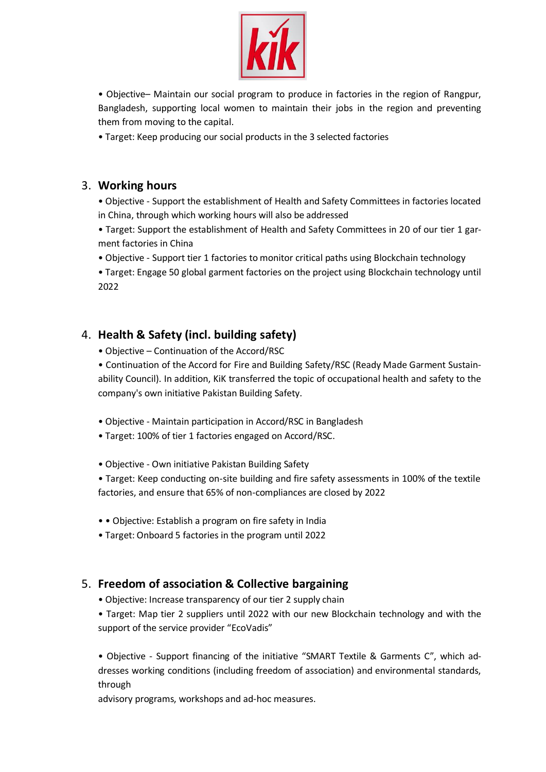

• Objective– Maintain our social program to produce in factories in the region of Rangpur, Bangladesh, supporting local women to maintain their jobs in the region and preventing them from moving to the capital.

• Target: Keep producing our social products in the 3 selected factories

#### 3. **Working hours**

• Objective - Support the establishment of Health and Safety Committees in factories located in China, through which working hours will also be addressed

• Target: Support the establishment of Health and Safety Committees in 20 of our tier 1 garment factories in China

• Objective - Support tier 1 factories to monitor critical paths using Blockchain technology

• Target: Engage 50 global garment factories on the project using Blockchain technology until 2022

#### 4. **Health & Safety (incl. building safety)**

• Objective – Continuation of the Accord/RSC

• Continuation of the Accord for Fire and Building Safety/RSC (Ready Made Garment Sustainability Council). In addition, KiK transferred the topic of occupational health and safety to the company's own initiative Pakistan Building Safety.

- Objective Maintain participation in Accord/RSC in Bangladesh
- Target: 100% of tier 1 factories engaged on Accord/RSC.
- Objective Own initiative Pakistan Building Safety

• Target: Keep conducting on-site building and fire safety assessments in 100% of the textile factories, and ensure that 65% of non-compliances are closed by 2022

- • Objective: Establish a program on fire safety in India
- Target: Onboard 5 factories in the program until 2022

#### 5. **Freedom of association & Collective bargaining**

• Objective: Increase transparency of our tier 2 supply chain

• Target: Map tier 2 suppliers until 2022 with our new Blockchain technology and with the support of the service provider "EcoVadis"

• Objective - Support financing of the initiative "SMART Textile & Garments C", which addresses working conditions (including freedom of association) and environmental standards, through

advisory programs, workshops and ad-hoc measures.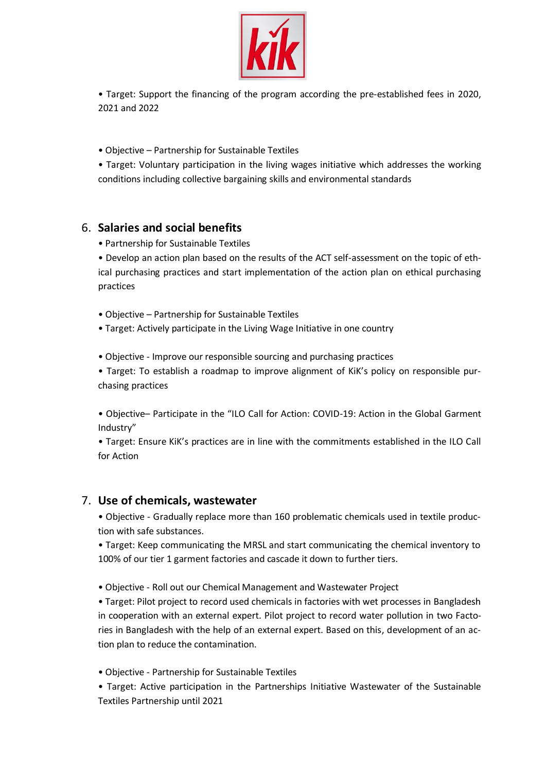

• Target: Support the financing of the program according the pre-established fees in 2020, 2021 and 2022

• Objective – Partnership for Sustainable Textiles

• Target: Voluntary participation in the living wages initiative which addresses the working conditions including collective bargaining skills and environmental standards

#### 6. **Salaries and social benefits**

• Partnership for Sustainable Textiles

• Develop an action plan based on the results of the ACT self-assessment on the topic of ethical purchasing practices and start implementation of the action plan on ethical purchasing practices

• Objective – Partnership for Sustainable Textiles

• Target: Actively participate in the Living Wage Initiative in one country

• Objective - Improve our responsible sourcing and purchasing practices

• Target: To establish a roadmap to improve alignment of KiK's policy on responsible purchasing practices

• Objective– Participate in the "ILO Call for Action: COVID-19: Action in the Global Garment Industry"

• Target: Ensure KiK's practices are in line with the commitments established in the ILO Call for Action

#### 7. **Use of chemicals, wastewater**

• Objective - Gradually replace more than 160 problematic chemicals used in textile production with safe substances.

• Target: Keep communicating the MRSL and start communicating the chemical inventory to 100% of our tier 1 garment factories and cascade it down to further tiers.

• Objective - Roll out our Chemical Management and Wastewater Project

• Target: Pilot project to record used chemicals in factories with wet processes in Bangladesh in cooperation with an external expert. Pilot project to record water pollution in two Factories in Bangladesh with the help of an external expert. Based on this, development of an action plan to reduce the contamination.

• Objective - Partnership for Sustainable Textiles

• Target: Active participation in the Partnerships Initiative Wastewater of the Sustainable Textiles Partnership until 2021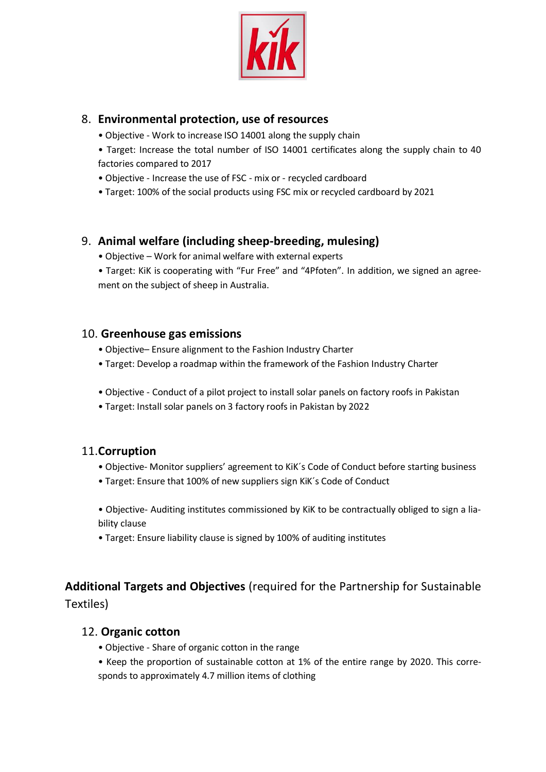

#### 8. **Environmental protection, use of resources**

- Objective Work to increase ISO 14001 along the supply chain
- Target: Increase the total number of ISO 14001 certificates along the supply chain to 40 factories compared to 2017
- Objective Increase the use of FSC mix or recycled cardboard
- Target: 100% of the social products using FSC mix or recycled cardboard by 2021

## 9. **Animal welfare (including sheep-breeding, mulesing)**

- Objective Work for animal welfare with external experts
- Target: KiK is cooperating with "Fur Free" and "4Pfoten". In addition, we signed an agreement on the subject of sheep in Australia.

### 10. **Greenhouse gas emissions**

- Objective– Ensure alignment to the Fashion Industry Charter
- Target: Develop a roadmap within the framework of the Fashion Industry Charter
- Objective Conduct of a pilot project to install solar panels on factory roofs in Pakistan
- Target: Install solar panels on 3 factory roofs in Pakistan by 2022

#### 11.**Corruption**

- Objective- Monitor suppliers' agreement to KiK´s Code of Conduct before starting business
- Target: Ensure that 100% of new suppliers sign KiK´s Code of Conduct

• Objective- Auditing institutes commissioned by KiK to be contractually obliged to sign a liability clause

• Target: Ensure liability clause is signed by 100% of auditing institutes

# **Additional Targets and Objectives** (required for the Partnership for Sustainable

Textiles)

#### 12. **Organic cotton**

- Objective Share of organic cotton in the range
- Keep the proportion of sustainable cotton at 1% of the entire range by 2020. This corresponds to approximately 4.7 million items of clothing